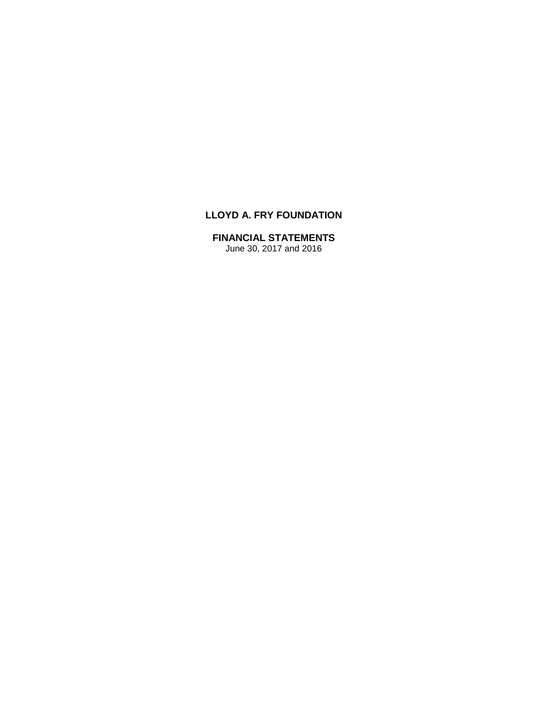# **LLOYD A. FRY FOUNDATION**

# **FINANCIAL STATEMENTS**

June 30, 2017 and 2016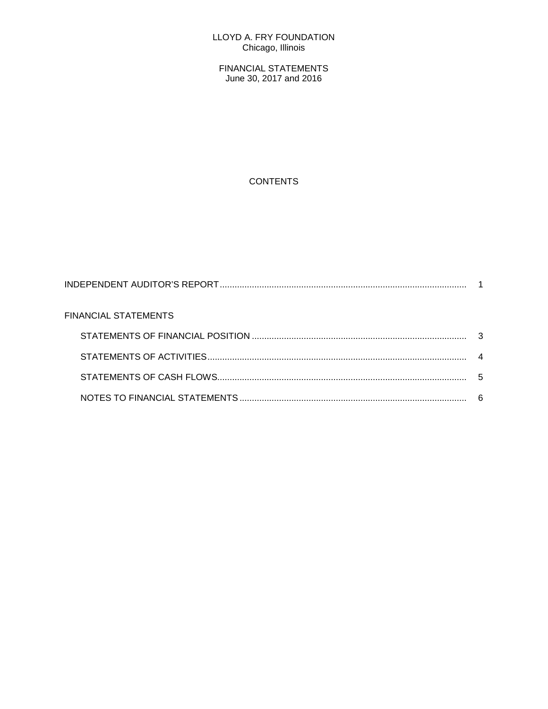# LLOYD A. FRY FOUNDATION Chicago, Illinois

FINANCIAL STATEMENTS June 30, 2017 and 2016

# **CONTENTS**

| FINANCIAL STATEMENTS |    |
|----------------------|----|
|                      |    |
|                      |    |
|                      | .5 |
|                      |    |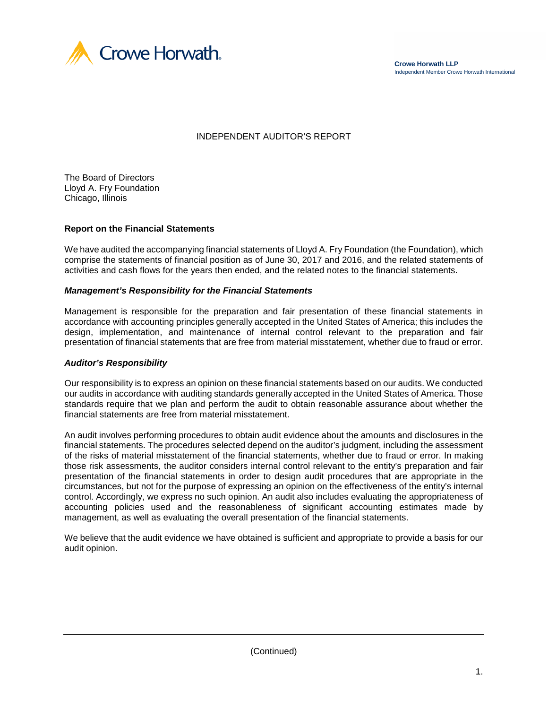

## INDEPENDENT AUDITOR'S REPORT

The Board of Directors Lloyd A. Fry Foundation Chicago, Illinois

#### **Report on the Financial Statements**

We have audited the accompanying financial statements of Lloyd A. Fry Foundation (the Foundation), which comprise the statements of financial position as of June 30, 2017 and 2016, and the related statements of activities and cash flows for the years then ended, and the related notes to the financial statements.

#### *Management's Responsibility for the Financial Statements*

Management is responsible for the preparation and fair presentation of these financial statements in accordance with accounting principles generally accepted in the United States of America; this includes the design, implementation, and maintenance of internal control relevant to the preparation and fair presentation of financial statements that are free from material misstatement, whether due to fraud or error.

#### *Auditor's Responsibility*

Our responsibility is to express an opinion on these financial statements based on our audits. We conducted our audits in accordance with auditing standards generally accepted in the United States of America. Those standards require that we plan and perform the audit to obtain reasonable assurance about whether the financial statements are free from material misstatement.

An audit involves performing procedures to obtain audit evidence about the amounts and disclosures in the financial statements. The procedures selected depend on the auditor's judgment, including the assessment of the risks of material misstatement of the financial statements, whether due to fraud or error. In making those risk assessments, the auditor considers internal control relevant to the entity's preparation and fair presentation of the financial statements in order to design audit procedures that are appropriate in the circumstances, but not for the purpose of expressing an opinion on the effectiveness of the entity's internal control. Accordingly, we express no such opinion. An audit also includes evaluating the appropriateness of accounting policies used and the reasonableness of significant accounting estimates made by management, as well as evaluating the overall presentation of the financial statements.

We believe that the audit evidence we have obtained is sufficient and appropriate to provide a basis for our audit opinion.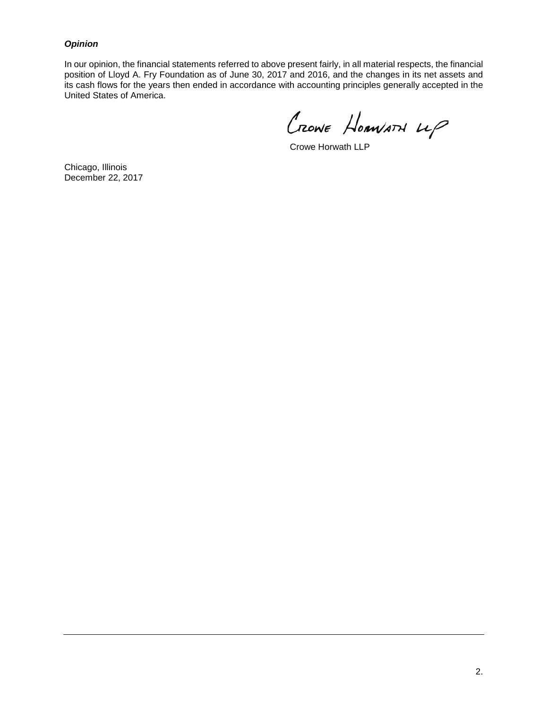# *Opinion*

In our opinion, the financial statements referred to above present fairly, in all material respects, the financial position of Lloyd A. Fry Foundation as of June 30, 2017 and 2016, and the changes in its net assets and its cash flows for the years then ended in accordance with accounting principles generally accepted in the United States of America.

Crowe Homvard 4P

Crowe Horwath LLP

Chicago, Illinois December 22, 2017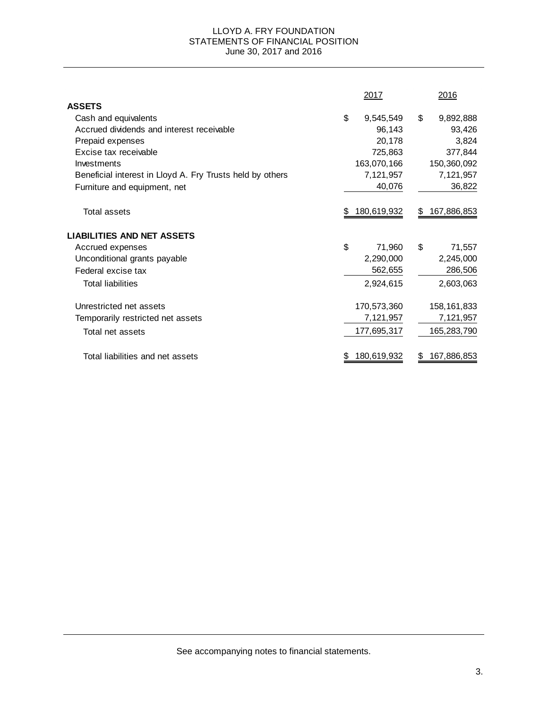#### LLOYD A. FRY FOUNDATION STATEMENTS OF FINANCIAL POSITION June 30, 2017 and 2016

|                                                           |    | <u>2017</u> |    | 2016          |
|-----------------------------------------------------------|----|-------------|----|---------------|
| <b>ASSETS</b>                                             |    |             |    |               |
| Cash and equivalents                                      | \$ | 9,545,549   | \$ | 9,892,888     |
| Accrued dividends and interest receivable                 |    | 96,143      |    | 93,426        |
| Prepaid expenses                                          |    | 20,178      |    | 3,824         |
| Excise tax receivable                                     |    | 725,863     |    | 377,844       |
| Investments                                               |    | 163,070,166 |    | 150,360,092   |
| Beneficial interest in Lloyd A. Fry Trusts held by others |    | 7,121,957   |    | 7,121,957     |
| Furniture and equipment, net                              |    | 40,076      |    | 36,822        |
| <b>Total assets</b>                                       | £. | 180,619,932 | S  | 167,886,853   |
| <b>LIABILITIES AND NET ASSETS</b>                         |    |             |    |               |
| Accrued expenses                                          | \$ | 71,960      | \$ | 71,557        |
| Unconditional grants payable                              |    | 2,290,000   |    | 2,245,000     |
| Federal excise tax                                        |    | 562,655     |    | 286,506       |
| <b>Total liabilities</b>                                  |    | 2,924,615   |    | 2,603,063     |
| Unrestricted net assets                                   |    | 170,573,360 |    | 158, 161, 833 |
| Temporarily restricted net assets                         |    | 7,121,957   |    | 7,121,957     |
| Total net assets                                          |    | 177,695,317 |    | 165,283,790   |
| Total liabilities and net assets                          |    | 180,619,932 | S  | 167,886,853   |

See accompanying notes to financial statements.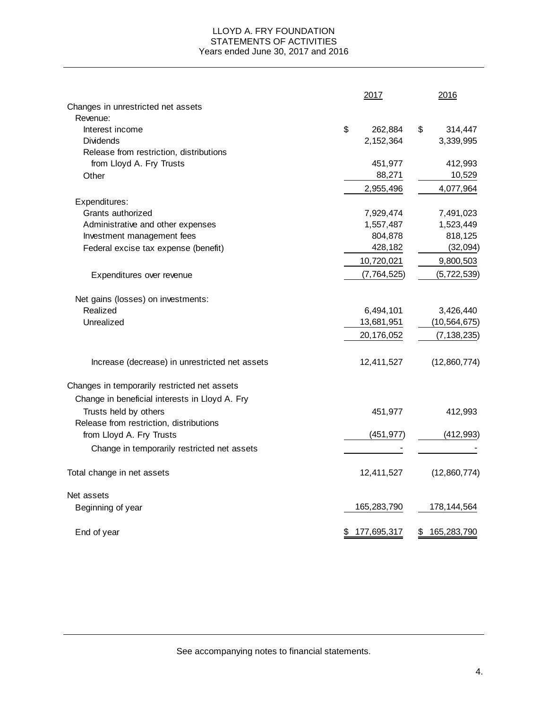#### LLOYD A. FRY FOUNDATION STATEMENTS OF ACTIVITIES Years ended June 30, 2017 and 2016

|                                                | 2017              | 2016              |
|------------------------------------------------|-------------------|-------------------|
| Changes in unrestricted net assets<br>Revenue: |                   |                   |
| Interest income                                | \$<br>262,884     | \$<br>314,447     |
| <b>Dividends</b>                               | 2,152,364         | 3,339,995         |
| Release from restriction, distributions        |                   |                   |
| from Lloyd A. Fry Trusts                       | 451,977           | 412,993           |
| Other                                          | 88,271            | 10,529            |
|                                                | 2,955,496         | 4,077,964         |
| Expenditures:                                  |                   |                   |
| Grants authorized                              | 7,929,474         | 7,491,023         |
| Administrative and other expenses              | 1,557,487         | 1,523,449         |
| Investment management fees                     | 804,878           | 818,125           |
| Federal excise tax expense (benefit)           | 428,182           | (32,094)          |
|                                                | 10,720,021        | 9,800,503         |
| Expenditures over revenue                      | (7, 764, 525)     | (5,722,539)       |
|                                                |                   |                   |
| Net gains (losses) on investments:             |                   |                   |
| Realized                                       | 6,494,101         | 3,426,440         |
| Unrealized                                     | 13,681,951        | (10, 564, 675)    |
|                                                | 20,176,052        | (7, 138, 235)     |
| Increase (decrease) in unrestricted net assets | 12,411,527        | (12,860,774)      |
| Changes in temporarily restricted net assets   |                   |                   |
| Change in beneficial interests in Lloyd A. Fry |                   |                   |
| Trusts held by others                          | 451,977           | 412,993           |
| Release from restriction, distributions        |                   |                   |
| from Lloyd A. Fry Trusts                       | (451, 977)        | (412, 993)        |
| Change in temporarily restricted net assets    |                   |                   |
| Total change in net assets                     | 12,411,527        | (12,860,774)      |
| Net assets                                     |                   |                   |
| Beginning of year                              | 165,283,790       | 178, 144, 564     |
| End of year                                    | \$<br>177,695,317 | \$<br>165,283,790 |

See accompanying notes to financial statements.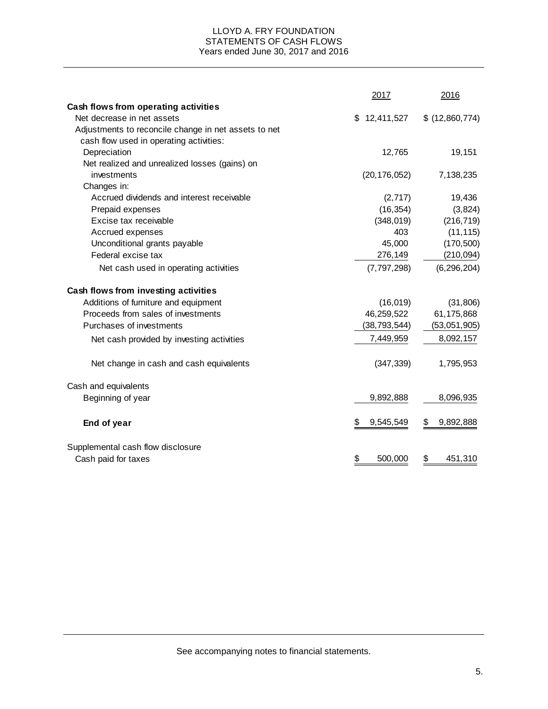#### LLOYD A. FRY FOUNDATION STATEMENTS OF CASH FLOWS Years ended June 30, 2017 and 2016

|                                                      | 2017            | 2016            |
|------------------------------------------------------|-----------------|-----------------|
| Cash flows from operating activities                 |                 |                 |
| Net decrease in net assets                           | \$12,411,527    | \$(12,860,774)  |
| Adjustments to reconcile change in net assets to net |                 |                 |
| cash flow used in operating activities:              |                 |                 |
| Depreciation                                         | 12,765          | 19,151          |
| Net realized and unrealized losses (gains) on        |                 |                 |
| investments                                          | (20, 176, 052)  | 7,138,235       |
| Changes in:                                          |                 |                 |
| Accrued dividends and interest receivable            | (2,717)         | 19,436          |
| Prepaid expenses                                     | (16, 354)       | (3,824)         |
| Excise tax receivable                                | (348, 019)      | (216, 719)      |
| Accrued expenses                                     | 403             | (11, 115)       |
| Unconditional grants payable                         | 45,000          | (170, 500)      |
| Federal excise tax                                   | 276,149         | (210, 094)      |
| Net cash used in operating activities                | (7, 797, 298)   | (6, 296, 204)   |
| Cash flows from investing activities                 |                 |                 |
| Additions of furniture and equipment                 | (16, 019)       | (31, 806)       |
| Proceeds from sales of investments                   | 46,259,522      | 61,175,868      |
| Purchases of investments                             | (38, 793, 544)  | (53,051,905)    |
| Net cash provided by investing activities            | 7,449,959       | 8,092,157       |
| Net change in cash and cash equivalents              | (347, 339)      | 1,795,953       |
| Cash and equivalents                                 |                 |                 |
| Beginning of year                                    | 9,892,888       | 8,096,935       |
| End of year                                          | \$<br>9,545,549 | 9,892,888<br>\$ |
| Supplemental cash flow disclosure                    |                 |                 |
| Cash paid for taxes                                  | \$<br>500,000   | 451,310<br>\$   |

See accompanying notes to financial statements.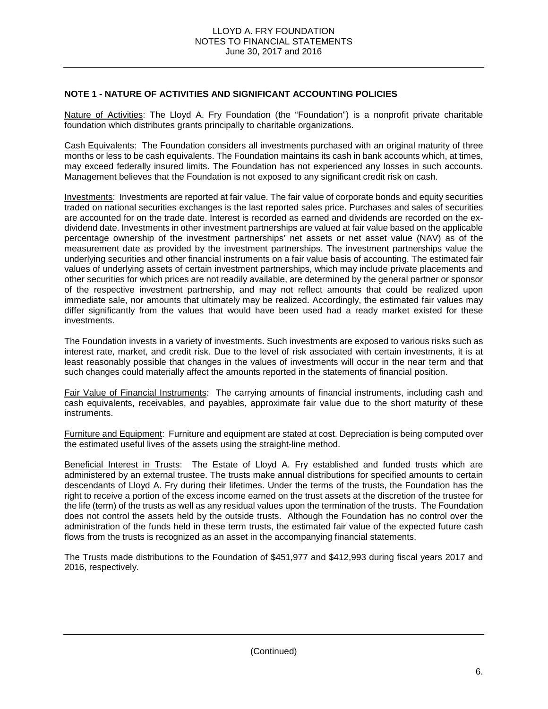# **NOTE 1 - NATURE OF ACTIVITIES AND SIGNIFICANT ACCOUNTING POLICIES**

Nature of Activities: The Lloyd A. Fry Foundation (the "Foundation") is a nonprofit private charitable foundation which distributes grants principally to charitable organizations.

Cash Equivalents: The Foundation considers all investments purchased with an original maturity of three months or less to be cash equivalents. The Foundation maintains its cash in bank accounts which, at times, may exceed federally insured limits. The Foundation has not experienced any losses in such accounts. Management believes that the Foundation is not exposed to any significant credit risk on cash.

Investments: Investments are reported at fair value. The fair value of corporate bonds and equity securities traded on national securities exchanges is the last reported sales price. Purchases and sales of securities are accounted for on the trade date. Interest is recorded as earned and dividends are recorded on the exdividend date. Investments in other investment partnerships are valued at fair value based on the applicable percentage ownership of the investment partnerships' net assets or net asset value (NAV) as of the measurement date as provided by the investment partnerships. The investment partnerships value the underlying securities and other financial instruments on a fair value basis of accounting. The estimated fair values of underlying assets of certain investment partnerships, which may include private placements and other securities for which prices are not readily available, are determined by the general partner or sponsor of the respective investment partnership, and may not reflect amounts that could be realized upon immediate sale, nor amounts that ultimately may be realized. Accordingly, the estimated fair values may differ significantly from the values that would have been used had a ready market existed for these investments.

The Foundation invests in a variety of investments. Such investments are exposed to various risks such as interest rate, market, and credit risk. Due to the level of risk associated with certain investments, it is at least reasonably possible that changes in the values of investments will occur in the near term and that such changes could materially affect the amounts reported in the statements of financial position.

Fair Value of Financial Instruments: The carrying amounts of financial instruments, including cash and cash equivalents, receivables, and payables, approximate fair value due to the short maturity of these instruments.

Furniture and Equipment: Furniture and equipment are stated at cost. Depreciation is being computed over the estimated useful lives of the assets using the straight-line method.

Beneficial Interest in Trusts: The Estate of Lloyd A. Fry established and funded trusts which are administered by an external trustee. The trusts make annual distributions for specified amounts to certain descendants of Lloyd A. Fry during their lifetimes. Under the terms of the trusts, the Foundation has the right to receive a portion of the excess income earned on the trust assets at the discretion of the trustee for the life (term) of the trusts as well as any residual values upon the termination of the trusts. The Foundation does not control the assets held by the outside trusts. Although the Foundation has no control over the administration of the funds held in these term trusts, the estimated fair value of the expected future cash flows from the trusts is recognized as an asset in the accompanying financial statements.

The Trusts made distributions to the Foundation of \$451,977 and \$412,993 during fiscal years 2017 and 2016, respectively.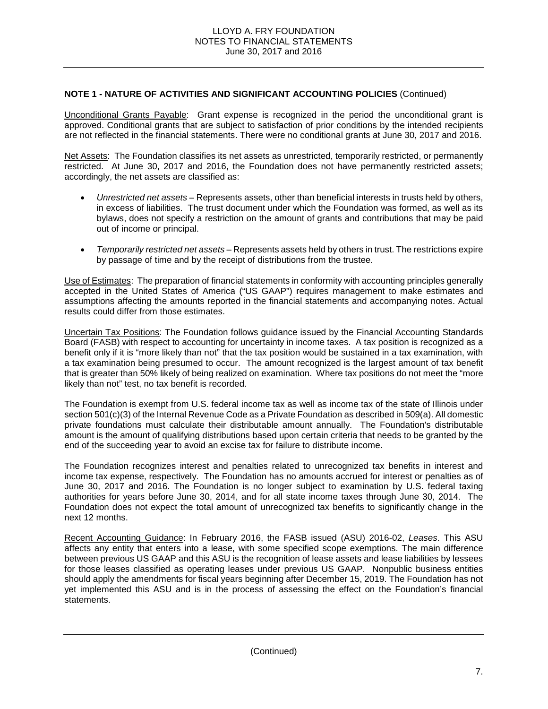# **NOTE 1 - NATURE OF ACTIVITIES AND SIGNIFICANT ACCOUNTING POLICIES** (Continued)

Unconditional Grants Payable: Grant expense is recognized in the period the unconditional grant is approved. Conditional grants that are subject to satisfaction of prior conditions by the intended recipients are not reflected in the financial statements. There were no conditional grants at June 30, 2017 and 2016.

Net Assets: The Foundation classifies its net assets as unrestricted, temporarily restricted, or permanently restricted. At June 30, 2017 and 2016, the Foundation does not have permanently restricted assets; accordingly, the net assets are classified as:

- *Unrestricted net assets* Represents assets, other than beneficial interests in trusts held by others, in excess of liabilities. The trust document under which the Foundation was formed, as well as its bylaws, does not specify a restriction on the amount of grants and contributions that may be paid out of income or principal.
- *Temporarily restricted net assets*  Represents assets held by others in trust. The restrictions expire by passage of time and by the receipt of distributions from the trustee.

Use of Estimates: The preparation of financial statements in conformity with accounting principles generally accepted in the United States of America ("US GAAP") requires management to make estimates and assumptions affecting the amounts reported in the financial statements and accompanying notes. Actual results could differ from those estimates.

Uncertain Tax Positions: The Foundation follows guidance issued by the Financial Accounting Standards Board (FASB) with respect to accounting for uncertainty in income taxes. A tax position is recognized as a benefit only if it is "more likely than not" that the tax position would be sustained in a tax examination, with a tax examination being presumed to occur. The amount recognized is the largest amount of tax benefit that is greater than 50% likely of being realized on examination. Where tax positions do not meet the "more likely than not" test, no tax benefit is recorded.

The Foundation is exempt from U.S. federal income tax as well as income tax of the state of Illinois under section 501(c)(3) of the Internal Revenue Code as a Private Foundation as described in 509(a). All domestic private foundations must calculate their distributable amount annually. The Foundation's distributable amount is the amount of qualifying distributions based upon certain criteria that needs to be granted by the end of the succeeding year to avoid an excise tax for failure to distribute income.

The Foundation recognizes interest and penalties related to unrecognized tax benefits in interest and income tax expense, respectively. The Foundation has no amounts accrued for interest or penalties as of June 30, 2017 and 2016. The Foundation is no longer subject to examination by U.S. federal taxing authorities for years before June 30, 2014, and for all state income taxes through June 30, 2014. The Foundation does not expect the total amount of unrecognized tax benefits to significantly change in the next 12 months.

Recent Accounting Guidance: In February 2016, the FASB issued (ASU) 2016-02, *Leases*. This ASU affects any entity that enters into a lease, with some specified scope exemptions. The main difference between previous US GAAP and this ASU is the recognition of lease assets and lease liabilities by lessees for those leases classified as operating leases under previous US GAAP. Nonpublic business entities should apply the amendments for fiscal years beginning after December 15, 2019. The Foundation has not yet implemented this ASU and is in the process of assessing the effect on the Foundation's financial statements.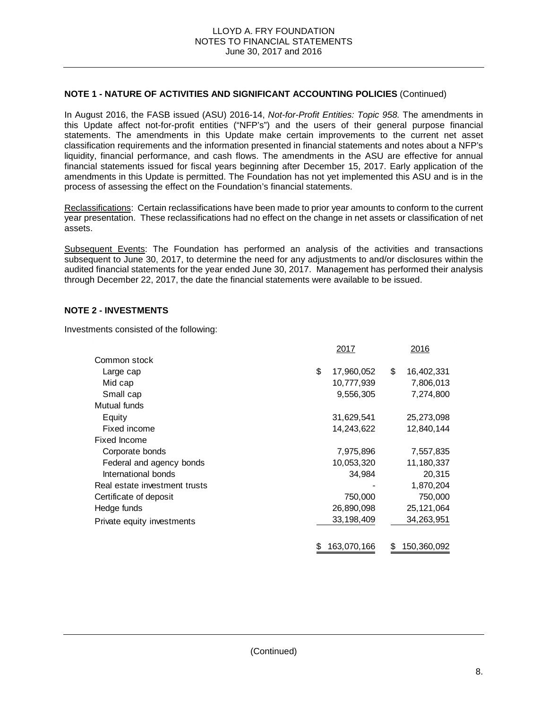## **NOTE 1 - NATURE OF ACTIVITIES AND SIGNIFICANT ACCOUNTING POLICIES** (Continued)

In August 2016, the FASB issued (ASU) 2016-14, *Not-for-Profit Entities: Topic 958.* The amendments in this Update affect not-for-profit entities ("NFP's") and the users of their general purpose financial statements. The amendments in this Update make certain improvements to the current net asset classification requirements and the information presented in financial statements and notes about a NFP's liquidity, financial performance, and cash flows. The amendments in the ASU are effective for annual financial statements issued for fiscal years beginning after December 15, 2017. Early application of the amendments in this Update is permitted. The Foundation has not yet implemented this ASU and is in the process of assessing the effect on the Foundation's financial statements.

Reclassifications: Certain reclassifications have been made to prior year amounts to conform to the current year presentation. These reclassifications had no effect on the change in net assets or classification of net assets.

Subsequent Events: The Foundation has performed an analysis of the activities and transactions subsequent to June 30, 2017, to determine the need for any adjustments to and/or disclosures within the audited financial statements for the year ended June 30, 2017. Management has performed their analysis through December 22, 2017, the date the financial statements were available to be issued.

#### **NOTE 2 - INVESTMENTS**

Investments consisted of the following:

|                               |    | 2017         | 2016              |
|-------------------------------|----|--------------|-------------------|
| Common stock                  |    |              |                   |
| Large cap                     | \$ | 17,960,052   | \$<br>16,402,331  |
| Mid cap                       |    | 10,777,939   | 7,806,013         |
| Small cap                     |    | 9,556,305    | 7,274,800         |
| Mutual funds                  |    |              |                   |
| Equity                        |    | 31,629,541   | 25,273,098        |
| Fixed income                  |    | 14,243,622   | 12,840,144        |
| <b>Fixed Income</b>           |    |              |                   |
| Corporate bonds               |    | 7,975,896    | 7,557,835         |
| Federal and agency bonds      |    | 10,053,320   | 11,180,337        |
| International bonds           |    | 34,984       | 20,315            |
| Real estate investment trusts |    |              | 1,870,204         |
| Certificate of deposit        |    | 750,000      | 750,000           |
| Hedge funds                   |    | 26,890,098   | 25,121,064        |
| Private equity investments    |    | 33, 198, 409 | 34,263,951        |
|                               | S  | 163,070,166  | \$<br>150,360,092 |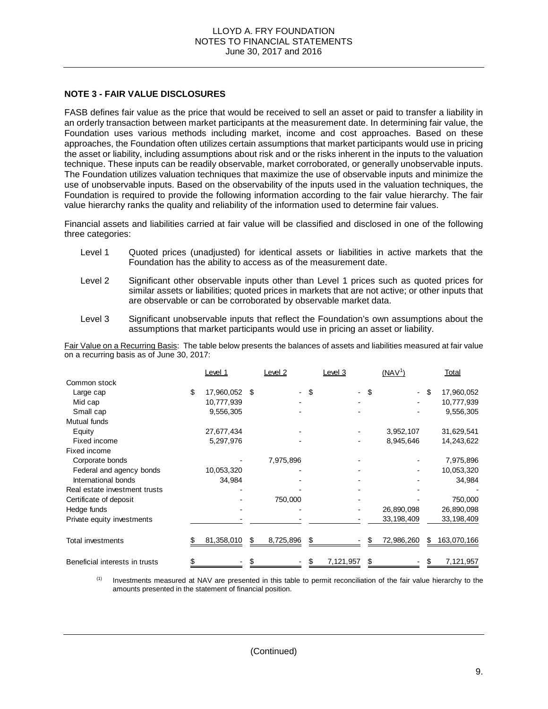## **NOTE 3 - FAIR VALUE DISCLOSURES**

FASB defines fair value as the price that would be received to sell an asset or paid to transfer a liability in an orderly transaction between market participants at the measurement date. In determining fair value, the Foundation uses various methods including market, income and cost approaches. Based on these approaches, the Foundation often utilizes certain assumptions that market participants would use in pricing the asset or liability, including assumptions about risk and or the risks inherent in the inputs to the valuation technique. These inputs can be readily observable, market corroborated, or generally unobservable inputs. The Foundation utilizes valuation techniques that maximize the use of observable inputs and minimize the use of unobservable inputs. Based on the observability of the inputs used in the valuation techniques, the Foundation is required to provide the following information according to the fair value hierarchy. The fair value hierarchy ranks the quality and reliability of the information used to determine fair values.

Financial assets and liabilities carried at fair value will be classified and disclosed in one of the following three categories:

- Level 1 Quoted prices (unadjusted) for identical assets or liabilities in active markets that the Foundation has the ability to access as of the measurement date.
- Level 2 Significant other observable inputs other than Level 1 prices such as quoted prices for similar assets or liabilities; quoted prices in markets that are not active; or other inputs that are observable or can be corroborated by observable market data.
- Level 3 Significant unobservable inputs that reflect the Foundation's own assumptions about the assumptions that market participants would use in pricing an asset or liability.

Fair Value on a Recurring Basis: The table below presents the balances of assets and liabilities measured at fair value on a recurring basis as of June 30, 2017:

|                                | Level 1          |      | Level 2   |      | Level 3   | (NAV <sup>1</sup> ) |     | <b>Total</b> |
|--------------------------------|------------------|------|-----------|------|-----------|---------------------|-----|--------------|
| Common stock                   |                  |      |           |      |           |                     |     |              |
| Large cap                      | \$<br>17,960,052 | - \$ |           | - \$ |           | \$                  | \$. | 17,960,052   |
| Mid cap                        | 10,777,939       |      |           |      |           |                     |     | 10,777,939   |
| Small cap                      | 9,556,305        |      |           |      |           |                     |     | 9,556,305    |
| Mutual funds                   |                  |      |           |      |           |                     |     |              |
| Equity                         | 27,677,434       |      |           |      |           | 3,952,107           |     | 31,629,541   |
| Fixed income                   | 5,297,976        |      |           |      |           | 8,945,646           |     | 14,243,622   |
| Fixed income                   |                  |      |           |      |           |                     |     |              |
| Corporate bonds                |                  |      | 7,975,896 |      |           |                     |     | 7,975,896    |
| Federal and agency bonds       | 10,053,320       |      |           |      |           |                     |     | 10,053,320   |
| International bonds            | 34,984           |      |           |      |           |                     |     | 34,984       |
| Real estate investment trusts  |                  |      |           |      |           |                     |     |              |
| Certificate of deposit         |                  |      | 750,000   |      |           |                     |     | 750,000      |
| Hedge funds                    |                  |      |           |      |           | 26,890,098          |     | 26,890,098   |
| Private equity investments     |                  |      |           |      |           | 33,198,409          |     | 33,198,409   |
| Total investments              | 81,358,010       |      | 8,725,896 | \$   |           | 72,986,260          | S   | 163,070,166  |
| Beneficial interests in trusts |                  |      |           |      | 7,121,957 |                     |     | 7,121,957    |

Investments measured at NAV are presented in this table to permit reconciliation of the fair value hierarchy to the amounts presented in the statement of financial position.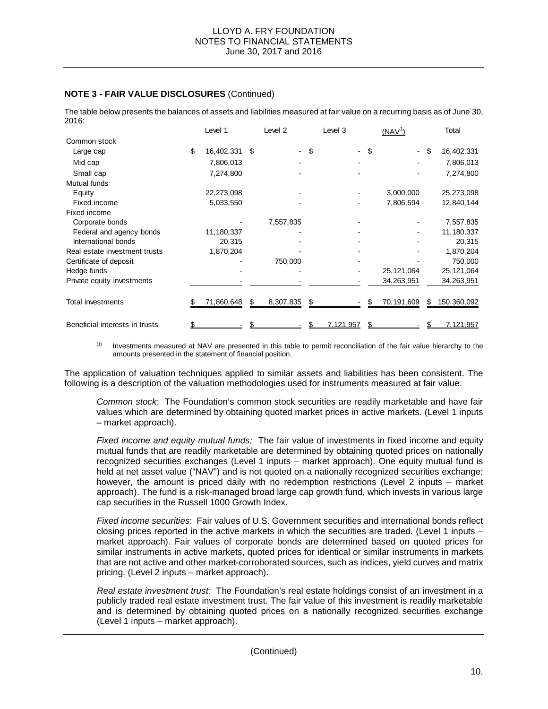# **NOTE 3 - FAIR VALUE DISCLOSURES** (Continued)

The table below presents the balances of assets and liabilities measured at fair value on a recurring basis as of June 30, 2016:

|                                |     | Level 1    |     | Level 2   | Level 3    |    | (NAV <sup>1</sup> )      |     | <b>Total</b> |
|--------------------------------|-----|------------|-----|-----------|------------|----|--------------------------|-----|--------------|
| Common stock                   |     |            |     |           |            |    |                          |     |              |
| Large cap                      | \$  | 16,402,331 | -\$ |           | \$         | \$ | $\overline{\phantom{0}}$ | \$. | 16,402,331   |
| Mid cap                        |     | 7,806,013  |     |           |            |    |                          |     | 7,806,013    |
| Small cap                      |     | 7,274,800  |     |           |            |    |                          |     | 7,274,800    |
| Mutual funds                   |     |            |     |           |            |    |                          |     |              |
| Equity                         |     | 22,273,098 |     |           |            |    | 3,000,000                |     | 25,273,098   |
| Fixed income                   |     | 5,033,550  |     |           |            |    | 7,806,594                |     | 12,840,144   |
| Fixed income                   |     |            |     |           |            |    |                          |     |              |
| Corporate bonds                |     |            |     | 7,557,835 |            |    |                          |     | 7,557,835    |
| Federal and agency bonds       |     | 11,180,337 |     |           |            |    |                          |     | 11,180,337   |
| International bonds            |     | 20,315     |     |           |            |    |                          |     | 20,315       |
| Real estate investment trusts  |     | 1,870,204  |     |           |            |    |                          |     | 1,870,204    |
| Certificate of deposit         |     |            |     | 750,000   |            |    |                          |     | 750,000      |
| Hedge funds                    |     |            |     |           |            |    | 25,121,064               |     | 25,121,064   |
| Private equity investments     |     |            |     |           |            |    | 34,263,951               |     | 34,263,951   |
| Total investments              | SS. | 71,860,648 | \$  | 8,307,835 | \$         | S  | 70,191,609               | S   | 150,360,092  |
| Beneficial interests in trusts |     |            |     |           | 121.957. ' |    |                          |     | 7,121,957    |

(1) Investments measured at NAV are presented in this table to permit reconciliation of the fair value hierarchy to the amounts presented in the statement of financial position.

The application of valuation techniques applied to similar assets and liabilities has been consistent. The following is a description of the valuation methodologies used for instruments measured at fair value:

*Common stock*: The Foundation's common stock securities are readily marketable and have fair values which are determined by obtaining quoted market prices in active markets. (Level 1 inputs – market approach).

*Fixed income and equity mutual funds:* The fair value of investments in fixed income and equity mutual funds that are readily marketable are determined by obtaining quoted prices on nationally recognized securities exchanges (Level 1 inputs – market approach). One equity mutual fund is held at net asset value ("NAV") and is not quoted on a nationally recognized securities exchange; however, the amount is priced daily with no redemption restrictions (Level 2 inputs – market approach). The fund is a risk-managed broad large cap growth fund, which invests in various large cap securities in the Russell 1000 Growth Index.

*Fixed income securities*: Fair values of U.S. Government securities and international bonds reflect closing prices reported in the active markets in which the securities are traded. (Level 1 inputs – market approach). Fair values of corporate bonds are determined based on quoted prices for similar instruments in active markets, quoted prices for identical or similar instruments in markets that are not active and other market-corroborated sources, such as indices, yield curves and matrix pricing. (Level 2 inputs – market approach).

*Real estate investment trust:* The Foundation's real estate holdings consist of an investment in a publicly traded real estate investment trust. The fair value of this investment is readily marketable and is determined by obtaining quoted prices on a nationally recognized securities exchange (Level 1 inputs – market approach).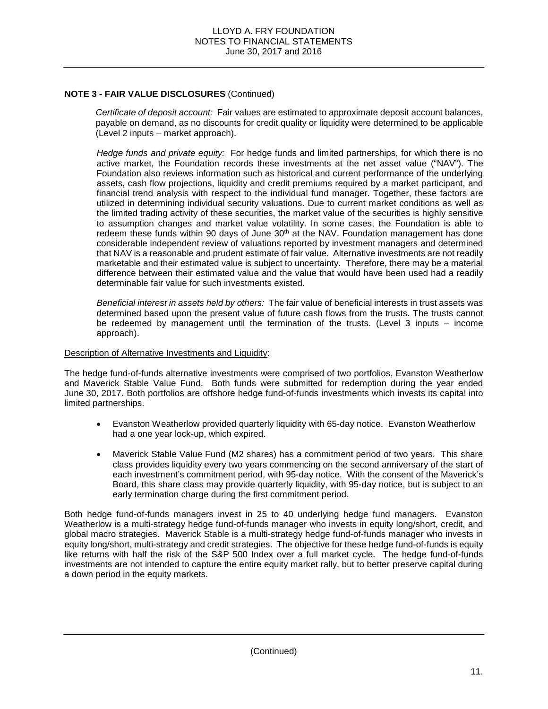# **NOTE 3 - FAIR VALUE DISCLOSURES** (Continued)

*Certificate of deposit account:* Fair values are estimated to approximate deposit account balances, payable on demand, as no discounts for credit quality or liquidity were determined to be applicable (Level 2 inputs – market approach).

*Hedge funds and private equity:* For hedge funds and limited partnerships, for which there is no active market, the Foundation records these investments at the net asset value ("NAV"). The Foundation also reviews information such as historical and current performance of the underlying assets, cash flow projections, liquidity and credit premiums required by a market participant, and financial trend analysis with respect to the individual fund manager. Together, these factors are utilized in determining individual security valuations. Due to current market conditions as well as the limited trading activity of these securities, the market value of the securities is highly sensitive to assumption changes and market value volatility. In some cases, the Foundation is able to redeem these funds within 90 days of June 30<sup>th</sup> at the NAV. Foundation management has done considerable independent review of valuations reported by investment managers and determined that NAV is a reasonable and prudent estimate of fair value. Alternative investments are not readily marketable and their estimated value is subject to uncertainty. Therefore, there may be a material difference between their estimated value and the value that would have been used had a readily determinable fair value for such investments existed.

*Beneficial interest in assets held by others:* The fair value of beneficial interests in trust assets was determined based upon the present value of future cash flows from the trusts. The trusts cannot be redeemed by management until the termination of the trusts. (Level 3 inputs – income approach).

#### Description of Alternative Investments and Liquidity:

The hedge fund-of-funds alternative investments were comprised of two portfolios, Evanston Weatherlow and Maverick Stable Value Fund. Both funds were submitted for redemption during the year ended June 30, 2017. Both portfolios are offshore hedge fund-of-funds investments which invests its capital into limited partnerships.

- Evanston Weatherlow provided quarterly liquidity with 65-day notice. Evanston Weatherlow had a one year lock-up, which expired.
- Maverick Stable Value Fund (M2 shares) has a commitment period of two years. This share class provides liquidity every two years commencing on the second anniversary of the start of each investment's commitment period, with 95-day notice. With the consent of the Maverick's Board, this share class may provide quarterly liquidity, with 95-day notice, but is subject to an early termination charge during the first commitment period.

Both hedge fund-of-funds managers invest in 25 to 40 underlying hedge fund managers. Evanston Weatherlow is a multi-strategy hedge fund-of-funds manager who invests in equity long/short, credit, and global macro strategies. Maverick Stable is a multi-strategy hedge fund-of-funds manager who invests in equity long/short, multi-strategy and credit strategies. The objective for these hedge fund-of-funds is equity like returns with half the risk of the S&P 500 Index over a full market cycle. The hedge fund-of-funds investments are not intended to capture the entire equity market rally, but to better preserve capital during a down period in the equity markets.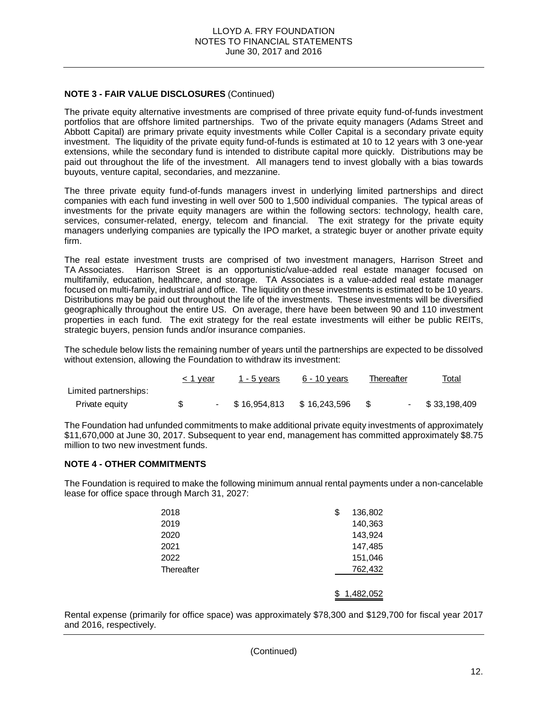# **NOTE 3 - FAIR VALUE DISCLOSURES** (Continued)

The private equity alternative investments are comprised of three private equity fund-of-funds investment portfolios that are offshore limited partnerships. Two of the private equity managers (Adams Street and Abbott Capital) are primary private equity investments while Coller Capital is a secondary private equity investment. The liquidity of the private equity fund-of-funds is estimated at 10 to 12 years with 3 one-year extensions, while the secondary fund is intended to distribute capital more quickly. Distributions may be paid out throughout the life of the investment. All managers tend to invest globally with a bias towards buyouts, venture capital, secondaries, and mezzanine.

The three private equity fund-of-funds managers invest in underlying limited partnerships and direct companies with each fund investing in well over 500 to 1,500 individual companies. The typical areas of investments for the private equity managers are within the following sectors: technology, health care, services, consumer-related, energy, telecom and financial. The exit strategy for the private equity managers underlying companies are typically the IPO market, a strategic buyer or another private equity firm.

The real estate investment trusts are comprised of two investment managers, Harrison Street and TA Associates. Harrison Street is an opportunistic/value-added real estate manager focused on multifamily, education, healthcare, and storage. TA Associates is a value-added real estate manager focused on multi-family, industrial and office. The liquidity on these investments is estimated to be 10 years. Distributions may be paid out throughout the life of the investments. These investments will be diversified geographically throughout the entire US. On average, there have been between 90 and 110 investment properties in each fund. The exit strategy for the real estate investments will either be public REITs, strategic buyers, pension funds and/or insurance companies.

The schedule below lists the remaining number of years until the partnerships are expected to be dissolved without extension, allowing the Foundation to withdraw its investment:

|                       | < 1 year | 1 - $5$ vears    | 6 - 10 vears | Thereafter | <u>Total</u> |
|-----------------------|----------|------------------|--------------|------------|--------------|
| Limited partnerships: |          |                  |              |            |              |
| Private equity        |          | $-$ \$16.954.813 | \$16.243.596 |            | \$33,198,409 |

The Foundation had unfunded commitments to make additional private equity investments of approximately \$11,670,000 at June 30, 2017. Subsequent to year end, management has committed approximately \$8.75 million to two new investment funds.

#### **NOTE 4 - OTHER COMMITMENTS**

The Foundation is required to make the following minimum annual rental payments under a non-cancelable lease for office space through March 31, 2027:

| 2018       | \$<br>136,802 |
|------------|---------------|
| 2019       | 140,363       |
| 2020       | 143,924       |
| 2021       | 147,485       |
| 2022       | 151,046       |
| Thereafter | 762,432       |
|            |               |
|            | \$1,482,052   |

Rental expense (primarily for office space) was approximately \$78,300 and \$129,700 for fiscal year 2017 and 2016, respectively.